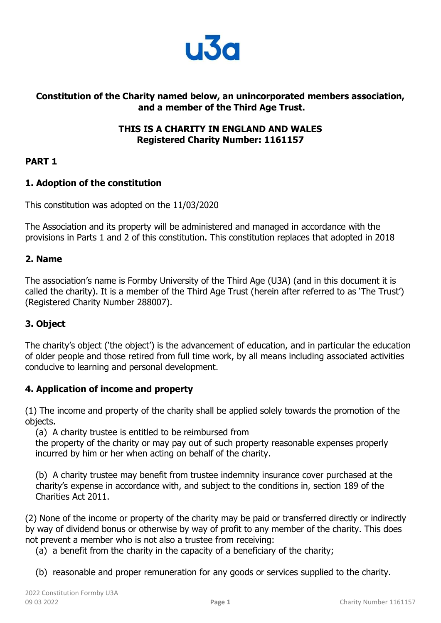

## **Constitution of the Charity named below, an unincorporated members association, and a member of the Third Age Trust.**

## **THIS IS A CHARITY IN ENGLAND AND WALES Registered Charity Number: 1161157**

## **PART 1**

## **1. Adoption of the constitution**

This constitution was adopted on the 11/03/2020

The Association and its property will be administered and managed in accordance with the provisions in Parts 1 and 2 of this constitution. This constitution replaces that adopted in 2018

## **2. Name**

The association's name is Formby University of the Third Age (U3A) (and in this document it is called the charity). It is a member of the Third Age Trust (herein after referred to as 'The Trust') (Registered Charity Number 288007).

# **3. Object**

The charity's object ( 'the object') is the advancement of education, and in particular the education of older people and those retired from full time work, by all means including associated activities conducive to learning and personal development.

## **4. Application of income and property**

(1) The income and property of the charity shall be applied solely towards the promotion of the objects.

(a) A charity trustee is entitled to be reimbursed from

the property of the charity or may pay out of such property reasonable expenses properly incurred by him or her when acting on behalf of the charity.

(b) A charity trustee may benefit from trustee indemnity insurance cover purchased at the charity's expense in accordance with, and subject to the conditions in, section 189 of the Charities Act 2011.

(2) None of the income or property of the charity may be paid or transferred directly or indirectly by way of dividend bonus or otherwise by way of profit to any member of the charity. This does not prevent a member who is not also a trustee from receiving:

(a) a benefit from the charity in the capacity of a beneficiary of the charity;

(b) reasonable and proper remuneration for any goods or services supplied to the charity.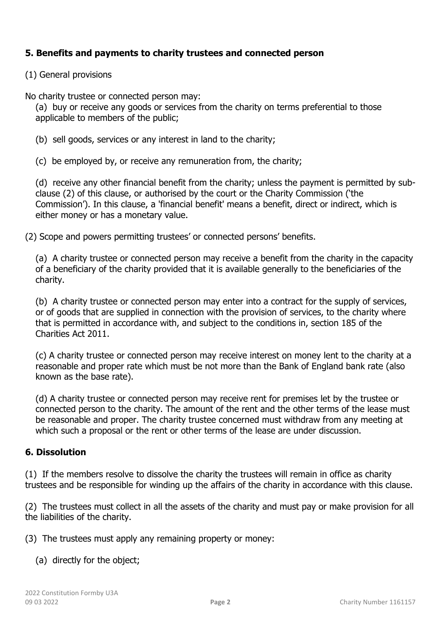## **5. Benefits and payments to charity trustees and connected person**

(1) General provisions

No charity trustee or connected person may:

(a) buy or receive any goods or services from the charity on terms preferential to those applicable to members of the public;

- (b) sell goods, services or any interest in land to the charity;
- (c) be employed by, or receive any remuneration from, the charity;

(d) receive any other financial benefit from the charity; unless the payment is permitted by subclause (2) of this clause, or authorised by the court or the Charity Commission ('the Commission'). In this clause, a 'financial benefit' means a benefit, direct or indirect, which is either money or has a monetary value.

(2) Scope and powers permitting trustees' or connected persons' benefits.

(a) A charity trustee or connected person may receive a benefit from the charity in the capacity of a beneficiary of the charity provided that it is available generally to the beneficiaries of the charity.

(b) A charity trustee or connected person may enter into a contract for the supply of services, or of goods that are supplied in connection with the provision of services, to the charity where that is permitted in accordance with, and subject to the conditions in, section 185 of the Charities Act 2011.

(c) A charity trustee or connected person may receive interest on money lent to the charity at a reasonable and proper rate which must be not more than the Bank of England bank rate (also known as the base rate).

(d) A charity trustee or connected person may receive rent for premises let by the trustee or connected person to the charity. The amount of the rent and the other terms of the lease must be reasonable and proper. The charity trustee concerned must withdraw from any meeting at which such a proposal or the rent or other terms of the lease are under discussion.

## **6. Dissolution**

(1) If the members resolve to dissolve the charity the trustees will remain in office as charity trustees and be responsible for winding up the affairs of the charity in accordance with this clause.

(2) The trustees must collect in all the assets of the charity and must pay or make provision for all the liabilities of the charity.

(3) The trustees must apply any remaining property or money:

(a) directly for the object;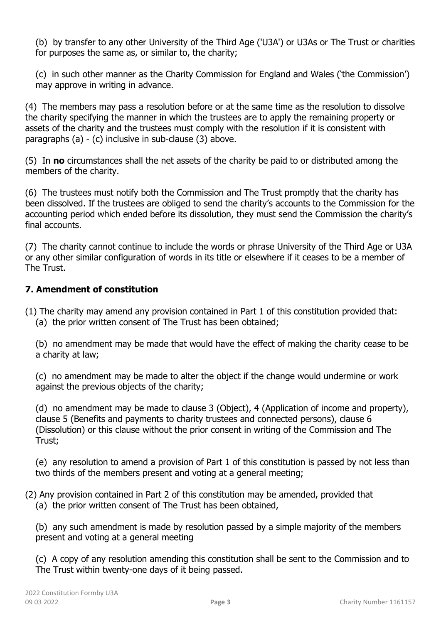(b) by transfer to any other University of the Third Age ('U3A') or U3As or The Trust or charities for purposes the same as, or similar to, the charity;

(c) in such other manner as the Charity Commission for England and Wales ('the Commission') may approve in writing in advance.

(4) The members may pass a resolution before or at the same time as the resolution to dissolve the charity specifying the manner in which the trustees are to apply the remaining property or assets of the charity and the trustees must comply with the resolution if it is consistent with paragraphs (a) - (c) inclusive in sub-clause (3) above.

(5) In **no** circumstances shall the net assets of the charity be paid to or distributed among the members of the charity.

(6) The trustees must notify both the Commission and The Trust promptly that the charity has been dissolved. If the trustees are obliged to send the charity's accounts to the Commission for the accounting period which ended before its dissolution, they must send the Commission the charity's final accounts.

(7) The charity cannot continue to include the words or phrase University of the Third Age or U3A or any other similar configuration of words in its title or elsewhere if it ceases to be a member of The Trust.

## **7. Amendment of constitution**

(1) The charity may amend any provision contained in Part 1 of this constitution provided that: (a) the prior written consent of The Trust has been obtained;

(b) no amendment may be made that would have the effect of making the charity cease to be a charity at law;

(c) no amendment may be made to alter the object if the change would undermine or work against the previous objects of the charity;

(d) no amendment may be made to clause 3 (Object), 4 (Application of income and property), clause 5 (Benefits and payments to charity trustees and connected persons), clause 6 (Dissolution) or this clause without the prior consent in writing of the Commission and The Trust;

(e) any resolution to amend a provision of Part 1 of this constitution is passed by not less than two thirds of the members present and voting at a general meeting;

(2) Any provision contained in Part 2 of this constitution may be amended, provided that (a) the prior written consent of The Trust has been obtained,

(b) any such amendment is made by resolution passed by a simple majority of the members present and voting at a general meeting

(c) A copy of any resolution amending this constitution shall be sent to the Commission and to The Trust within twenty-one days of it being passed.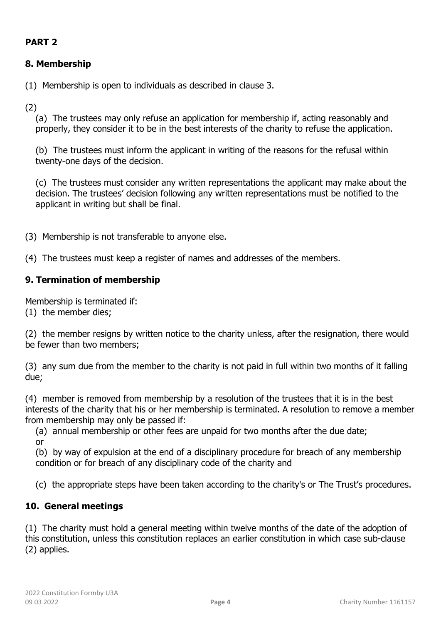# **PART 2**

# **8. Membership**

(1) Membership is open to individuals as described in clause 3.

(2)

(a) The trustees may only refuse an application for membership if, acting reasonably and properly, they consider it to be in the best interests of the charity to refuse the application.

(b) The trustees must inform the applicant in writing of the reasons for the refusal within twenty-one days of the decision.

(c) The trustees must consider any written representations the applicant may make about the decision. The trustees' decision following any written representations must be notified to the applicant in writing but shall be final.

(3) Membership is not transferable to anyone else.

(4) The trustees must keep a register of names and addresses of the members.

# **9. Termination of membership**

Membership is terminated if:

(1) the member dies;

(2) the member resigns by written notice to the charity unless, after the resignation, there would be fewer than two members;

(3) any sum due from the member to the charity is not paid in full within two months of it falling due;

(4) member is removed from membership by a resolution of the trustees that it is in the best interests of the charity that his or her membership is terminated. A resolution to remove a member from membership may only be passed if:

(a) annual membership or other fees are unpaid for two months after the due date; or

(b) by way of expulsion at the end of a disciplinary procedure for breach of any membership condition or for breach of any disciplinary code of the charity and

(c) the appropriate steps have been taken according to the charity's or The Trust's procedures.

# **10. General meetings**

(1) The charity must hold a general meeting within twelve months of the date of the adoption of this constitution, unless this constitution replaces an earlier constitution in which case sub-clause (2) applies.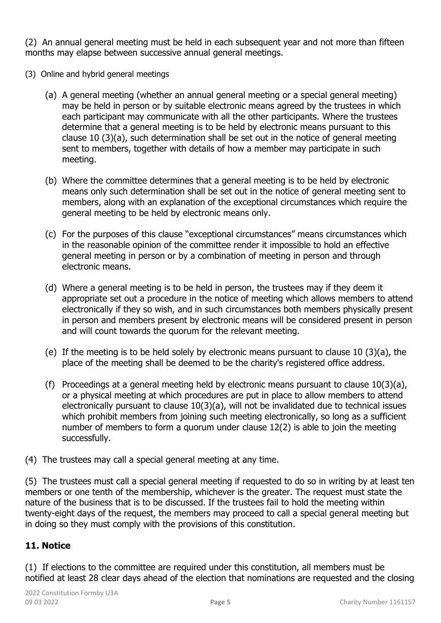(2) An annual general meeting must be held in each subsequent year and not more than fifteen months may elapse between successive annual general meetings.

- (3) Online and hybrid general meetings
	- (a) A general meeting (whether an annual general meeting or a special general meeting) may be held in person or by suitable electronic means agreed by the trustees in which each participant may communicate with all the other participants. Where the trustees determine that a general meeting is to be held by electronic means pursuant to this clause 10 (3)(a), such determination shall be set out in the notice of general meeting sent to members, together with details of how a member may participate in such meeting.
	- (b) Where the committee determines that a general meeting is to be held by electronic means only such determination shall be set out in the notice of general meeting sent to members, along with an explanation of the exceptional circumstances which require the general meeting to be held by electronic means only.
	- (c) For the purposes of this clause "exceptional circumstances" means circumstances which in the reasonable opinion of the committee render it impossible to hold an effective general meeting in person or by a combination of meeting in person and through electronic means.
	- (d) Where a general meeting is to be held in person, the trustees may if they deem it appropriate set out a procedure in the notice of meeting which allows members to attend electronically if they so wish, and in such circumstances both members physically present in person and members present by electronic means will be considered present in person and will count towards the quorum for the relevant meeting.
	- (e) If the meeting is to be held solely by electronic means pursuant to clause 10 (3)(a), the place of the meeting shall be deemed to be the charity's registered office address.
	- (f) Proceedings at a general meeting held by electronic means pursuant to clause 10(3)(a), or a physical meeting at which procedures are put in place to allow members to attend electronically pursuant to clause 10(3)(a), will not be invalidated due to technical issues which prohibit members from joining such meeting electronically, so long as a sufficient number of members to form a quorum under clause 12(2) is able to join the meeting successfully.
- (4) The trustees may call a special general meeting at any time.

(5) The trustees must call a special general meeting if requested to do so in writing by at least ten members or one tenth of the membership, whichever is the greater. The request must state the nature of the business that is to be discussed. If the trustees fail to hold the meeting within twenty-eight days of the request, the members may proceed to call a special general meeting but in doing so they must comply with the provisions of this constitution.

# **11. Notice**

(1) If elections to the committee are required under this constitution, all members must be notified at least 28 clear days ahead of the election that nominations are requested and the closing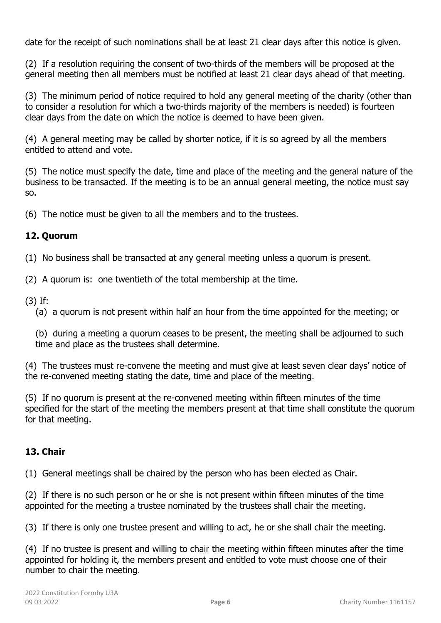date for the receipt of such nominations shall be at least 21 clear days after this notice is given.

(2) If a resolution requiring the consent of two-thirds of the members will be proposed at the general meeting then all members must be notified at least 21 clear days ahead of that meeting.

(3) The minimum period of notice required to hold any general meeting of the charity (other than to consider a resolution for which a two-thirds majority of the members is needed) is fourteen clear days from the date on which the notice is deemed to have been given.

(4) A general meeting may be called by shorter notice, if it is so agreed by all the members entitled to attend and vote.

(5) The notice must specify the date, time and place of the meeting and the general nature of the business to be transacted. If the meeting is to be an annual general meeting, the notice must say so.

(6) The notice must be given to all the members and to the trustees.

# **12. Quorum**

(1) No business shall be transacted at any general meeting unless a quorum is present.

- (2) A quorum is: one twentieth of the total membership at the time.
- (3) If:
	- (a) a quorum is not present within half an hour from the time appointed for the meeting; or

(b) during a meeting a quorum ceases to be present, the meeting shall be adjourned to such time and place as the trustees shall determine.

(4) The trustees must re-convene the meeting and must give at least seven clear days' notice of the re-convened meeting stating the date, time and place of the meeting.

(5) If no quorum is present at the re-convened meeting within fifteen minutes of the time specified for the start of the meeting the members present at that time shall constitute the quorum for that meeting.

# **13. Chair**

(1) General meetings shall be chaired by the person who has been elected as Chair.

(2) If there is no such person or he or she is not present within fifteen minutes of the time appointed for the meeting a trustee nominated by the trustees shall chair the meeting.

(3) If there is only one trustee present and willing to act, he or she shall chair the meeting.

(4) If no trustee is present and willing to chair the meeting within fifteen minutes after the time appointed for holding it, the members present and entitled to vote must choose one of their number to chair the meeting.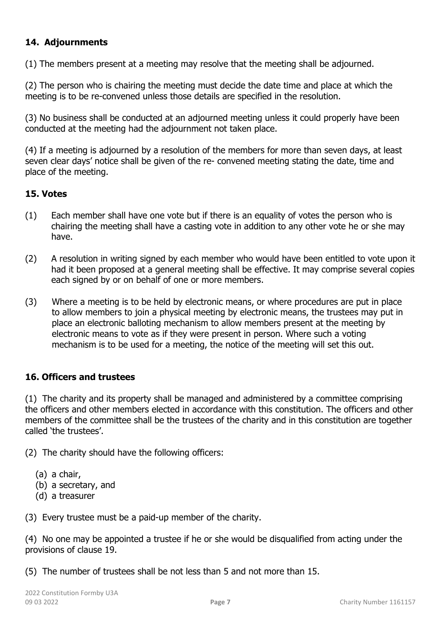## **14. Adjournments**

(1) The members present at a meeting may resolve that the meeting shall be adjourned.

(2) The person who is chairing the meeting must decide the date time and place at which the meeting is to be re-convened unless those details are specified in the resolution.

(3) No business shall be conducted at an adjourned meeting unless it could properly have been conducted at the meeting had the adjournment not taken place.

(4) If a meeting is adjourned by a resolution of the members for more than seven days, at least seven clear days' notice shall be given of the re- convened meeting stating the date, time and place of the meeting.

## **15. Votes**

- (1) Each member shall have one vote but if there is an equality of votes the person who is chairing the meeting shall have a casting vote in addition to any other vote he or she may have.
- (2) A resolution in writing signed by each member who would have been entitled to vote upon it had it been proposed at a general meeting shall be effective. It may comprise several copies each signed by or on behalf of one or more members.
- (3) Where a meeting is to be held by electronic means, or where procedures are put in place to allow members to join a physical meeting by electronic means, the trustees may put in place an electronic balloting mechanism to allow members present at the meeting by electronic means to vote as if they were present in person. Where such a voting mechanism is to be used for a meeting, the notice of the meeting will set this out.

## **16. Officers and trustees**

(1) The charity and its property shall be managed and administered by a committee comprising the officers and other members elected in accordance with this constitution. The officers and other members of the committee shall be the trustees of the charity and in this constitution are together called 'the trustees'.

(2) The charity should have the following officers:

- (a) a chair,
- (b) a secretary, and
- (d) a treasurer

(3) Every trustee must be a paid-up member of the charity.

(4) No one may be appointed a trustee if he or she would be disqualified from acting under the provisions of clause 19.

(5) The number of trustees shall be not less than 5 and not more than 15.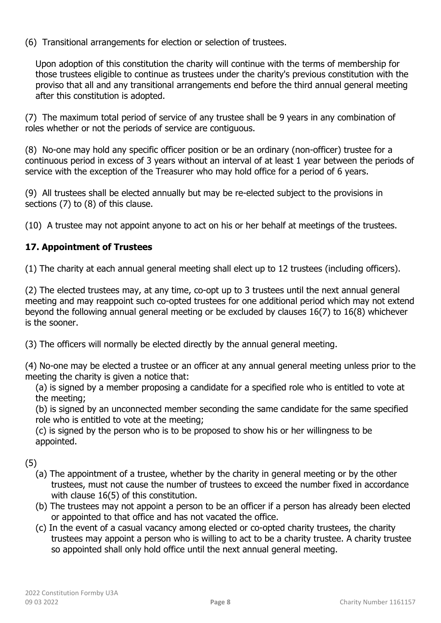(6) Transitional arrangements for election or selection of trustees.

Upon adoption of this constitution the charity will continue with the terms of membership for those trustees eligible to continue as trustees under the charity's previous constitution with the proviso that all and any transitional arrangements end before the third annual general meeting after this constitution is adopted.

(7) The maximum total period of service of any trustee shall be 9 years in any combination of roles whether or not the periods of service are contiguous.

(8) No-one may hold any specific officer position or be an ordinary (non-officer) trustee for a continuous period in excess of 3 years without an interval of at least 1 year between the periods of service with the exception of the Treasurer who may hold office for a period of 6 years.

(9) All trustees shall be elected annually but may be re-elected subject to the provisions in sections (7) to (8) of this clause.

(10) A trustee may not appoint anyone to act on his or her behalf at meetings of the trustees.

# **17. Appointment of Trustees**

(1) The charity at each annual general meeting shall elect up to 12 trustees (including officers).

(2) The elected trustees may, at any time, co-opt up to 3 trustees until the next annual general meeting and may reappoint such co-opted trustees for one additional period which may not extend beyond the following annual general meeting or be excluded by clauses 16(7) to 16(8) whichever is the sooner.

(3) The officers will normally be elected directly by the annual general meeting.

(4) No-one may be elected a trustee or an officer at any annual general meeting unless prior to the meeting the charity is given a notice that:

(a) is signed by a member proposing a candidate for a specified role who is entitled to vote at the meeting;

(b) is signed by an unconnected member seconding the same candidate for the same specified role who is entitled to vote at the meeting;

(c) is signed by the person who is to be proposed to show his or her willingness to be appointed.

(5)

- (a) The appointment of a trustee, whether by the charity in general meeting or by the other trustees, must not cause the number of trustees to exceed the number fixed in accordance with clause 16(5) of this constitution.
- (b) The trustees may not appoint a person to be an officer if a person has already been elected or appointed to that office and has not vacated the office.
- (c) In the event of a casual vacancy among elected or co-opted charity trustees, the charity trustees may appoint a person who is willing to act to be a charity trustee. A charity trustee so appointed shall only hold office until the next annual general meeting.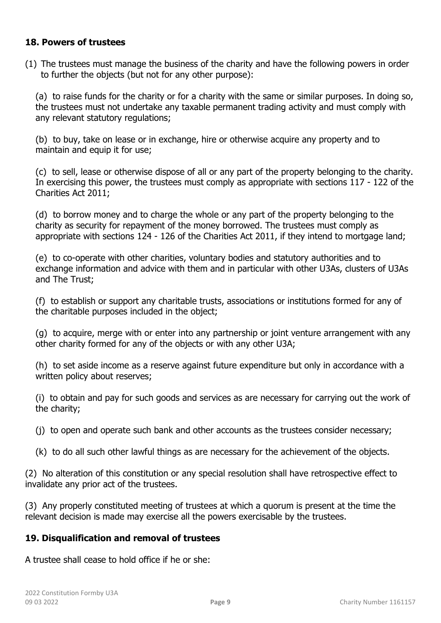### **18. Powers of trustees**

(1) The trustees must manage the business of the charity and have the following powers in order to further the objects (but not for any other purpose):

(a) to raise funds for the charity or for a charity with the same or similar purposes. In doing so, the trustees must not undertake any taxable permanent trading activity and must comply with any relevant statutory regulations;

(b) to buy, take on lease or in exchange, hire or otherwise acquire any property and to maintain and equip it for use;

(c) to sell, lease or otherwise dispose of all or any part of the property belonging to the charity. In exercising this power, the trustees must comply as appropriate with sections 117 - 122 of the Charities Act 2011;

(d) to borrow money and to charge the whole or any part of the property belonging to the charity as security for repayment of the money borrowed. The trustees must comply as appropriate with sections 124 - 126 of the Charities Act 2011, if they intend to mortgage land;

(e) to co-operate with other charities, voluntary bodies and statutory authorities and to exchange information and advice with them and in particular with other U3As, clusters of U3As and The Trust;

(f) to establish or support any charitable trusts, associations or institutions formed for any of the charitable purposes included in the object;

(g) to acquire, merge with or enter into any partnership or joint venture arrangement with any other charity formed for any of the objects or with any other U3A;

(h) to set aside income as a reserve against future expenditure but only in accordance with a written policy about reserves;

(i) to obtain and pay for such goods and services as are necessary for carrying out the work of the charity;

(j) to open and operate such bank and other accounts as the trustees consider necessary;

(k) to do all such other lawful things as are necessary for the achievement of the objects.

(2) No alteration of this constitution or any special resolution shall have retrospective effect to invalidate any prior act of the trustees.

(3) Any properly constituted meeting of trustees at which a quorum is present at the time the relevant decision is made may exercise all the powers exercisable by the trustees.

## **19. Disqualification and removal of trustees**

A trustee shall cease to hold office if he or she: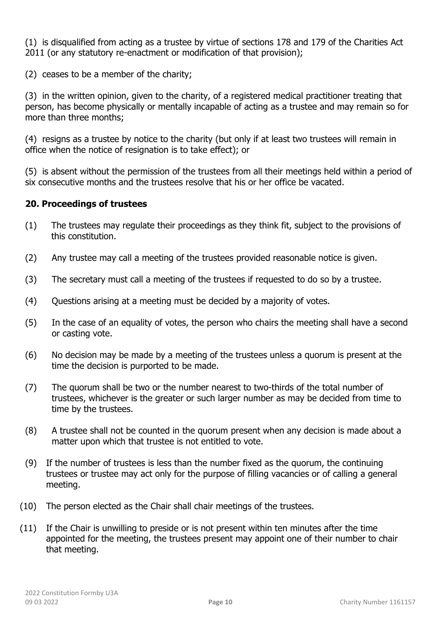(1) is disqualified from acting as a trustee by virtue of sections 178 and 179 of the Charities Act 2011 (or any statutory re-enactment or modification of that provision);

(2) ceases to be a member of the charity;

(3) in the written opinion, given to the charity, of a registered medical practitioner treating that person, has become physically or mentally incapable of acting as a trustee and may remain so for more than three months;

(4) resigns as a trustee by notice to the charity (but only if at least two trustees will remain in office when the notice of resignation is to take effect); or

(5) is absent without the permission of the trustees from all their meetings held within a period of six consecutive months and the trustees resolve that his or her office be vacated.

## **20. Proceedings of trustees**

- (1) The trustees may regulate their proceedings as they think fit, subject to the provisions of this constitution.
- (2) Any trustee may call a meeting of the trustees provided reasonable notice is given.
- (3) The secretary must call a meeting of the trustees if requested to do so by a trustee.
- (4) Questions arising at a meeting must be decided by a majority of votes.
- (5) In the case of an equality of votes, the person who chairs the meeting shall have a second or casting vote.
- (6) No decision may be made by a meeting of the trustees unless a quorum is present at the time the decision is purported to be made.
- (7) The quorum shall be two or the number nearest to two-thirds of the total number of trustees, whichever is the greater or such larger number as may be decided from time to time by the trustees.
- (8) A trustee shall not be counted in the quorum present when any decision is made about a matter upon which that trustee is not entitled to vote.
- (9) If the number of trustees is less than the number fixed as the quorum, the continuing trustees or trustee may act only for the purpose of filling vacancies or of calling a general meeting.
- (10) The person elected as the Chair shall chair meetings of the trustees.
- (11) If the Chair is unwilling to preside or is not present within ten minutes after the time appointed for the meeting, the trustees present may appoint one of their number to chair that meeting.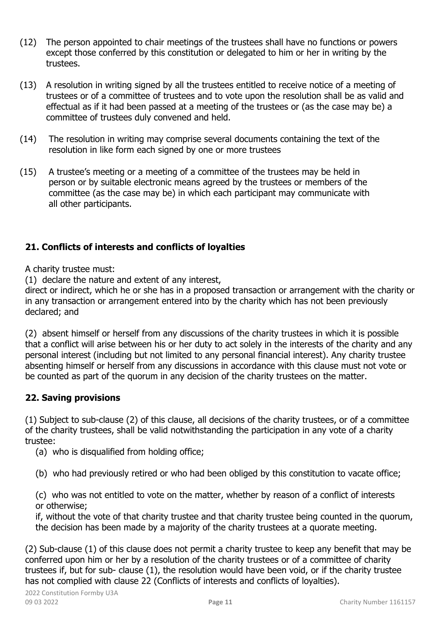- (12) The person appointed to chair meetings of the trustees shall have no functions or powers except those conferred by this constitution or delegated to him or her in writing by the trustees.
- (13) A resolution in writing signed by all the trustees entitled to receive notice of a meeting of trustees or of a committee of trustees and to vote upon the resolution shall be as valid and effectual as if it had been passed at a meeting of the trustees or (as the case may be) a committee of trustees duly convened and held.
- (14) The resolution in writing may comprise several documents containing the text of the resolution in like form each signed by one or more trustees
- (15) A trustee's meeting or a meeting of a committee of the trustees may be held in person or by suitable electronic means agreed by the trustees or members of the committee (as the case may be) in which each participant may communicate with all other participants.

# **21. Conflicts of interests and conflicts of loyalties**

A charity trustee must:

(1) declare the nature and extent of any interest,

direct or indirect, which he or she has in a proposed transaction or arrangement with the charity or in any transaction or arrangement entered into by the charity which has not been previously declared; and

(2) absent himself or herself from any discussions of the charity trustees in which it is possible that a conflict will arise between his or her duty to act solely in the interests of the charity and any personal interest (including but not limited to any personal financial interest). Any charity trustee absenting himself or herself from any discussions in accordance with this clause must not vote or be counted as part of the quorum in any decision of the charity trustees on the matter.

# **22. Saving provisions**

(1) Subject to sub-clause (2) of this clause, all decisions of the charity trustees, or of a committee of the charity trustees, shall be valid notwithstanding the participation in any vote of a charity trustee:

(a) who is disqualified from holding office;

(b) who had previously retired or who had been obliged by this constitution to vacate office;

(c) who was not entitled to vote on the matter, whether by reason of a conflict of interests or otherwise;

if, without the vote of that charity trustee and that charity trustee being counted in the quorum, the decision has been made by a majority of the charity trustees at a quorate meeting.

(2) Sub-clause (1) of this clause does not permit a charity trustee to keep any benefit that may be conferred upon him or her by a resolution of the charity trustees or of a committee of charity trustees if, but for sub- clause (1), the resolution would have been void, or if the charity trustee has not complied with clause 22 (Conflicts of interests and conflicts of loyalties).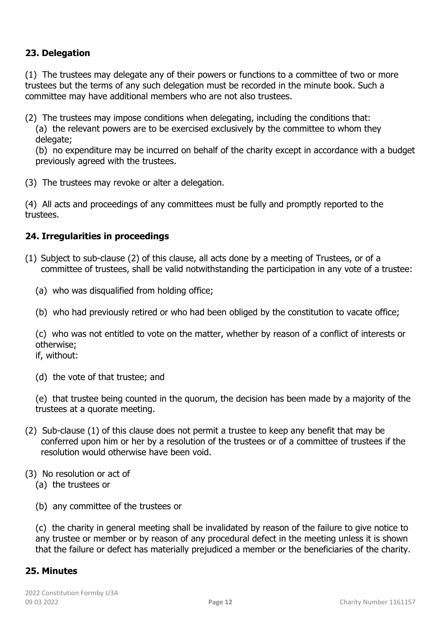## **23. Delegation**

(1) The trustees may delegate any of their powers or functions to a committee of two or more trustees but the terms of any such delegation must be recorded in the minute book. Such a committee may have additional members who are not also trustees.

(2) The trustees may impose conditions when delegating, including the conditions that: (a) the relevant powers are to be exercised exclusively by the committee to whom they delegate;

(b) no expenditure may be incurred on behalf of the charity except in accordance with a budget previously agreed with the trustees.

(3) The trustees may revoke or alter a delegation.

(4) All acts and proceedings of any committees must be fully and promptly reported to the trustees.

## **24. Irregularities in proceedings**

- (1) Subject to sub-clause (2) of this clause, all acts done by a meeting of Trustees, or of a committee of trustees, shall be valid notwithstanding the participation in any vote of a trustee:
	- (a) who was disqualified from holding office;
	- (b) who had previously retired or who had been obliged by the constitution to vacate office;

(c) who was not entitled to vote on the matter, whether by reason of a conflict of interests or otherwise;

if, without:

(d) the vote of that trustee; and

(e) that trustee being counted in the quorum, the decision has been made by a majority of the trustees at a quorate meeting.

- (2) Sub-clause (1) of this clause does not permit a trustee to keep any benefit that may be conferred upon him or her by a resolution of the trustees or of a committee of trustees if the resolution would otherwise have been void.
- (3) No resolution or act of
	- (a) the trustees or
	- (b) any committee of the trustees or

(c) the charity in general meeting shall be invalidated by reason of the failure to give notice to any trustee or member or by reason of any procedural defect in the meeting unless it is shown that the failure or defect has materially prejudiced a member or the beneficiaries of the charity.

## **25. Minutes**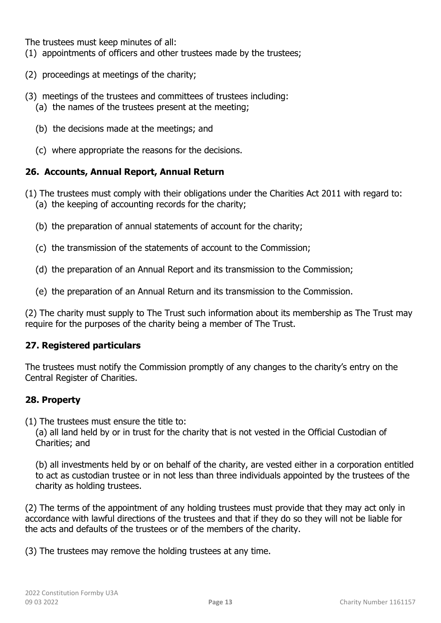The trustees must keep minutes of all:

- (1) appointments of officers and other trustees made by the trustees;
- (2) proceedings at meetings of the charity;
- (3) meetings of the trustees and committees of trustees including:
	- (a) the names of the trustees present at the meeting;
	- (b) the decisions made at the meetings; and
	- (c) where appropriate the reasons for the decisions.

### **26. Accounts, Annual Report, Annual Return**

- (1) The trustees must comply with their obligations under the Charities Act 2011 with regard to: (a) the keeping of accounting records for the charity;
	- (b) the preparation of annual statements of account for the charity;
	- (c) the transmission of the statements of account to the Commission;
	- (d) the preparation of an Annual Report and its transmission to the Commission;
	- (e) the preparation of an Annual Return and its transmission to the Commission.

(2) The charity must supply to The Trust such information about its membership as The Trust may require for the purposes of the charity being a member of The Trust.

#### **27. Registered particulars**

The trustees must notify the Commission promptly of any changes to the charity's entry on the Central Register of Charities.

## **28. Property**

(1) The trustees must ensure the title to:

(a) all land held by or in trust for the charity that is not vested in the Official Custodian of Charities; and

(b) all investments held by or on behalf of the charity, are vested either in a corporation entitled to act as custodian trustee or in not less than three individuals appointed by the trustees of the charity as holding trustees.

(2) The terms of the appointment of any holding trustees must provide that they may act only in accordance with lawful directions of the trustees and that if they do so they will not be liable for the acts and defaults of the trustees or of the members of the charity.

(3) The trustees may remove the holding trustees at any time.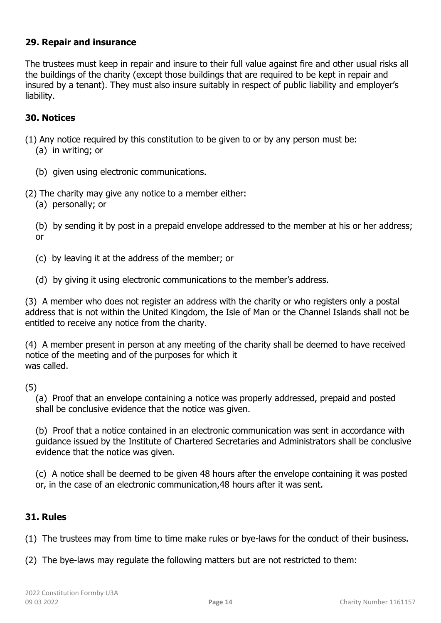### **29. Repair and insurance**

The trustees must keep in repair and insure to their full value against fire and other usual risks all the buildings of the charity (except those buildings that are required to be kept in repair and insured by a tenant). They must also insure suitably in respect of public liability and employer's liability.

### **30. Notices**

- (1) Any notice required by this constitution to be given to or by any person must be:
	- (a) in writing; or
	- (b) given using electronic communications.
- (2) The charity may give any notice to a member either:
	- (a) personally; or

(b) by sending it by post in a prepaid envelope addressed to the member at his or her address; or

- (c) by leaving it at the address of the member; or
- (d) by giving it using electronic communications to the member's address.

(3) A member who does not register an address with the charity or who registers only a postal address that is not within the United Kingdom, the Isle of Man or the Channel Islands shall not be entitled to receive any notice from the charity.

(4) A member present in person at any meeting of the charity shall be deemed to have received notice of the meeting and of the purposes for which it was called.

(5)

(a) Proof that an envelope containing a notice was properly addressed, prepaid and posted shall be conclusive evidence that the notice was given.

(b) Proof that a notice contained in an electronic communication was sent in accordance with guidance issued by the Institute of Chartered Secretaries and Administrators shall be conclusive evidence that the notice was given.

(c) A notice shall be deemed to be given 48 hours after the envelope containing it was posted or, in the case of an electronic communication,48 hours after it was sent.

## **31. Rules**

(1) The trustees may from time to time make rules or bye-laws for the conduct of their business.

(2) The bye-laws may regulate the following matters but are not restricted to them: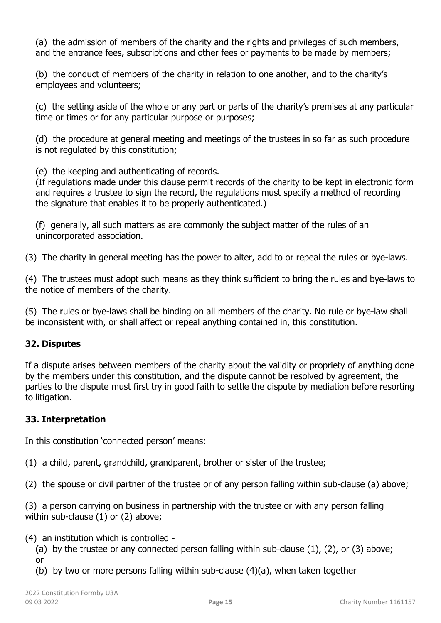(a) the admission of members of the charity and the rights and privileges of such members, and the entrance fees, subscriptions and other fees or payments to be made by members;

(b) the conduct of members of the charity in relation to one another, and to the charity's employees and volunteers;

(c) the setting aside of the whole or any part or parts of the charity's premises at any particular time or times or for any particular purpose or purposes;

(d) the procedure at general meeting and meetings of the trustees in so far as such procedure is not regulated by this constitution;

(e) the keeping and authenticating of records.

(If regulations made under this clause permit records of the charity to be kept in electronic form and requires a trustee to sign the record, the regulations must specify a method of recording the signature that enables it to be properly authenticated.)

(f) generally, all such matters as are commonly the subject matter of the rules of an unincorporated association.

(3) The charity in general meeting has the power to alter, add to or repeal the rules or bye-laws.

(4) The trustees must adopt such means as they think sufficient to bring the rules and bye-laws to the notice of members of the charity.

(5) The rules or bye-laws shall be binding on all members of the charity. No rule or bye-law shall be inconsistent with, or shall affect or repeal anything contained in, this constitution.

# **32. Disputes**

If a dispute arises between members of the charity about the validity or propriety of anything done by the members under this constitution, and the dispute cannot be resolved by agreement, the parties to the dispute must first try in good faith to settle the dispute by mediation before resorting to litigation.

# **33. Interpretation**

In this constitution 'connected person' means:

(1) a child, parent, grandchild, grandparent, brother or sister of the trustee;

(2) the spouse or civil partner of the trustee or of any person falling within sub-clause (a) above;

(3) a person carrying on business in partnership with the trustee or with any person falling within sub-clause (1) or (2) above;

(4) an institution which is controlled -

(a) by the trustee or any connected person falling within sub-clause  $(1)$ ,  $(2)$ , or  $(3)$  above; or

(b) by two or more persons falling within sub-clause (4)(a), when taken together